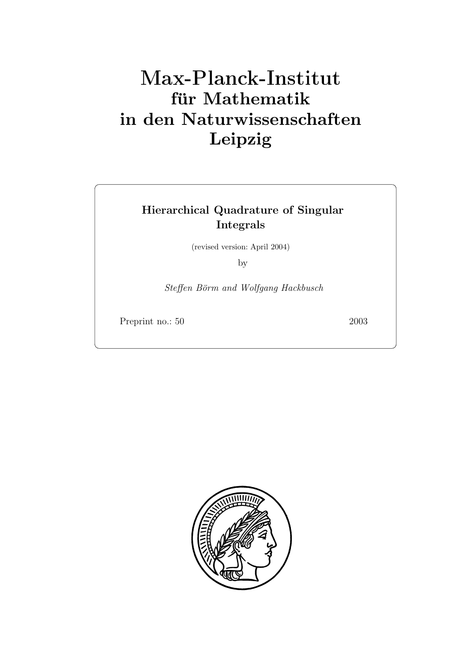# **für Mathematik in den Naturwissenschaften Leipzig**

# **Hierarchical Quadrature of Singular Integrals**

(revised version: April 2004)

by

Steffen Börm and Wolfgang Hackbusch

Preprint no.: 50 2003

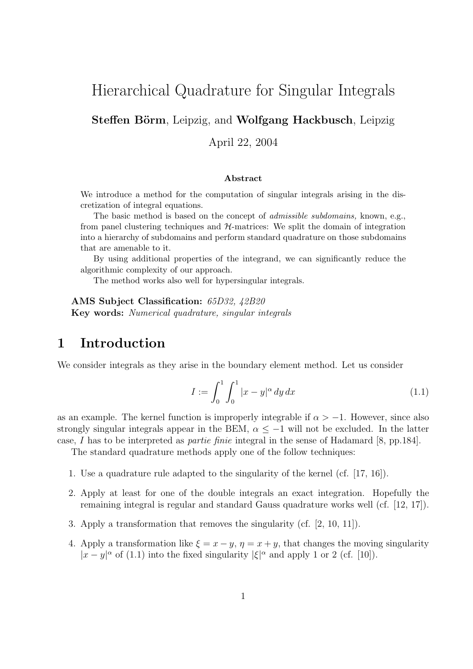# Hierarchical Quadrature for Singular Integrals

**Steffen Börm**, Leipzig, and **Wolfgang Hackbusch**, Leipzig

April 22, 2004

#### **Abstract**

We introduce a method for the computation of singular integrals arising in the discretization of integral equations.

The basic method is based on the concept of *admissible subdomains,* known, e.g., from panel clustering techniques and  $H$ -matrices: We split the domain of integration into a hierarchy of subdomains and perform standard quadrature on those subdomains that are amenable to it.

By using additional properties of the integrand, we can significantly reduce the algorithmic complexity of our approach.

The method works also well for hypersingular integrals.

**AMS Subject Classification:** 65D32, 42B20 **Key words:** Numerical quadrature, singular integrals

## **1 Introduction**

We consider integrals as they arise in the boundary element method. Let us consider

$$
I := \int_0^1 \int_0^1 |x - y|^\alpha \, dy \, dx \tag{1.1}
$$

as an example. The kernel function is improperly integrable if  $\alpha > -1$ . However, since also strongly singular integrals appear in the BEM,  $\alpha \leq -1$  will not be excluded. In the latter case, I has to be interpreted as partie finie integral in the sense of Hadamard [8, pp.184].

The standard quadrature methods apply one of the follow techniques:

- 1. Use a quadrature rule adapted to the singularity of the kernel (cf. [17, 16]).
- 2. Apply at least for one of the double integrals an exact integration. Hopefully the remaining integral is regular and standard Gauss quadrature works well (cf. [12, 17]).
- 3. Apply a transformation that removes the singularity (cf. [2, 10, 11]).
- 4. Apply a transformation like  $\xi = x y$ ,  $\eta = x + y$ , that changes the moving singularity  $|x-y|^{\alpha}$  of (1.1) into the fixed singularity  $|\xi|^{\alpha}$  and apply 1 or 2 (cf. [10]).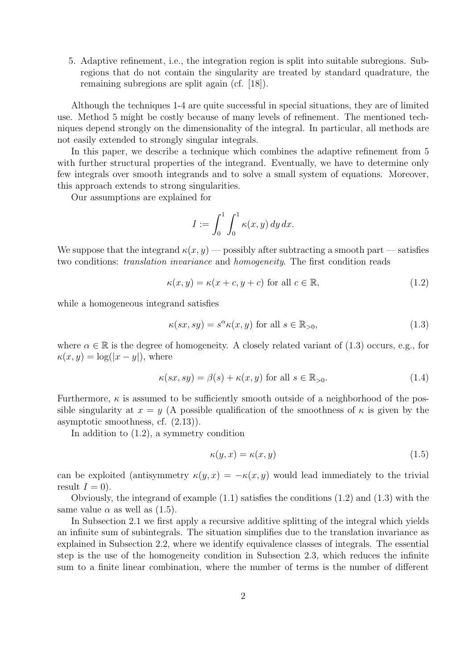5. Adaptive refinement, i.e., the integration region is split into suitable subregions. Subregions that do not contain the singularity are treated by standard quadrature, the remaining subregions are split again (cf. [18]).

Although the techniques 1-4 are quite successful in special situations, they are of limited use. Method 5 might be costly because of many levels of refinement. The mentioned techniques depend strongly on the dimensionality of the integral. In particular, all methods are not easily extended to strongly singular integrals.

In this paper, we describe a technique which combines the adaptive refinement from 5 with further structural properties of the integrand. Eventually, we have to determine only few integrals over smooth integrands and to solve a small system of equations. Moreover, this approach extends to strong singularities.

Our assumptions are explained for

$$
I := \int_0^1 \int_0^1 \kappa(x, y) \, dy \, dx.
$$

We suppose that the integrand  $\kappa(x, y)$  — possibly after subtracting a smooth part — satisfies two conditions: translation invariance and homogeneity. The first condition reads

$$
\kappa(x, y) = \kappa(x + c, y + c) \text{ for all } c \in \mathbb{R},\tag{1.2}
$$

while a homogeneous integrand satisfies

$$
\kappa(sx, sy) = s^{\alpha}\kappa(x, y) \text{ for all } s \in \mathbb{R}_{>0},\tag{1.3}
$$

where  $\alpha \in \mathbb{R}$  is the degree of homogeneity. A closely related variant of (1.3) occurs, e.g., for  $\kappa(x, y) = \log(|x - y|)$ , where

$$
\kappa(sx, sy) = \beta(s) + \kappa(x, y) \text{ for all } s \in \mathbb{R}_{>0}.
$$
 (1.4)

Furthermore,  $\kappa$  is assumed to be sufficiently smooth outside of a neighborhood of the possible singularity at  $x = y$  (A possible qualification of the smoothness of  $\kappa$  is given by the asymptotic smoothness, cf. (2.13)).

In addition to (1.2), a symmetry condition

$$
\kappa(y, x) = \kappa(x, y) \tag{1.5}
$$

can be exploited (antisymmetry  $\kappa(y, x) = -\kappa(x, y)$  would lead immediately to the trivial result  $I = 0$ ).

Obviously, the integrand of example (1.1) satisfies the conditions (1.2) and (1.3) with the same value  $\alpha$  as well as  $(1.5)$ .

In Subsection 2.1 we first apply a recursive additive splitting of the integral which yields an infinite sum of subintegrals. The situation simplifies due to the translation invariance as explained in Subsection 2.2, where we identify equivalence classes of integrals. The essential step is the use of the homogeneity condition in Subsection 2.3, which reduces the infinite sum to a finite linear combination, where the number of terms is the number of different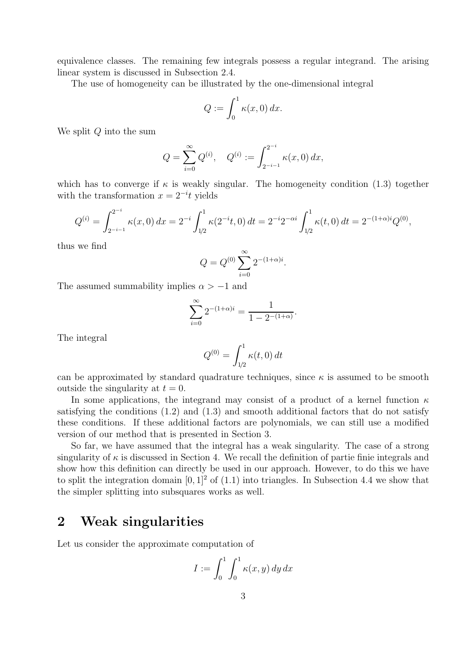equivalence classes. The remaining few integrals possess a regular integrand. The arising linear system is discussed in Subsection 2.4.

The use of homogeneity can be illustrated by the one-dimensional integral

$$
Q := \int_0^1 \kappa(x,0) \, dx.
$$

We split  $Q$  into the sum

$$
Q = \sum_{i=0}^{\infty} Q^{(i)}, \quad Q^{(i)} := \int_{2^{-i-1}}^{2^{-i}} \kappa(x,0) \, dx,
$$

which has to converge if  $\kappa$  is weakly singular. The homogeneity condition (1.3) together with the transformation  $x = 2^{-i}t$  yields

$$
Q^{(i)} = \int_{2^{-i-1}}^{2^{-i}} \kappa(x,0) dx = 2^{-i} \int_{1/2}^{1} \kappa(2^{-i}t,0) dt = 2^{-i} 2^{-\alpha i} \int_{1/2}^{1} \kappa(t,0) dt = 2^{-(1+\alpha)i} Q^{(0)},
$$

thus we find

$$
Q = Q^{(0)} \sum_{i=0}^{\infty} 2^{-(1+\alpha)i}.
$$

The assumed summability implies  $\alpha > -1$  and

$$
\sum_{i=0}^{\infty} 2^{-(1+\alpha)i} = \frac{1}{1 - 2^{-(1+\alpha)}}.
$$

The integral

$$
Q^{(0)} = \int_{1/2}^{1} \kappa(t, 0) dt
$$

can be approximated by standard quadrature techniques, since  $\kappa$  is assumed to be smooth outside the singularity at  $t = 0$ .

In some applications, the integrand may consist of a product of a kernel function  $\kappa$ satisfying the conditions  $(1.2)$  and  $(1.3)$  and smooth additional factors that do not satisfy these conditions. If these additional factors are polynomials, we can still use a modified version of our method that is presented in Section 3.

So far, we have assumed that the integral has a weak singularity. The case of a strong singularity of  $\kappa$  is discussed in Section 4. We recall the definition of partie finie integrals and show how this definition can directly be used in our approach. However, to do this we have to split the integration domain  $[0, 1]^2$  of  $(1.1)$  into triangles. In Subsection 4.4 we show that the simpler splitting into subsquares works as well.

# **2 Weak singularities**

Let us consider the approximate computation of

$$
I := \int_0^1 \int_0^1 \kappa(x, y) \, dy \, dx
$$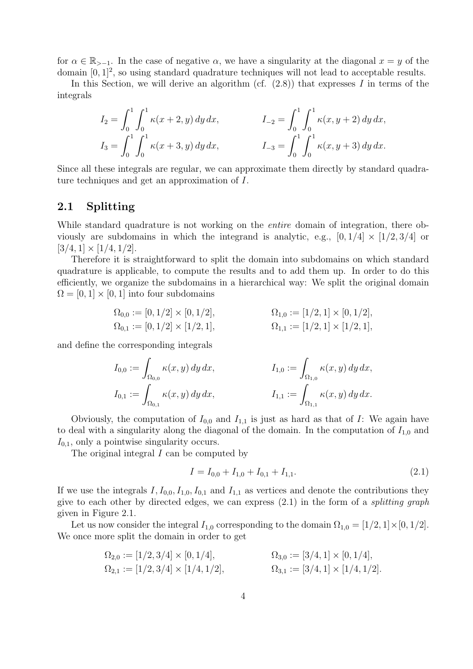for  $\alpha \in \mathbb{R}_{>1}$ . In the case of negative  $\alpha$ , we have a singularity at the diagonal  $x = y$  of the domain  $[0, 1]^2$ , so using standard quadrature techniques will not lead to acceptable results.

In this Section, we will derive an algorithm (cf.  $(2.8)$ ) that expresses I in terms of the integrals

$$
I_2 = \int_0^1 \int_0^1 \kappa(x+2, y) \, dy \, dx, \qquad I_{-2} = \int_0^1 \int_0^1 \kappa(x, y+2) \, dy \, dx, I_3 = \int_0^1 \int_0^1 \kappa(x+3, y) \, dy \, dx, \qquad I_{-3} = \int_0^1 \int_0^1 \kappa(x, y+3) \, dy \, dx.
$$

Since all these integrals are regular, we can approximate them directly by standard quadrature techniques and get an approximation of I.

## **2.1 Splitting**

While standard quadrature is not working on the *entire* domain of integration, there obviously are subdomains in which the integrand is analytic, e.g.,  $[0, 1/4] \times [1/2, 3/4]$  or  $[3/4, 1] \times [1/4, 1/2].$ 

Therefore it is straightforward to split the domain into subdomains on which standard quadrature is applicable, to compute the results and to add them up. In order to do this efficiently, we organize the subdomains in a hierarchical way: We split the original domain  $\Omega = [0, 1] \times [0, 1]$  into four subdomains

$$
\Omega_{0,0} := [0, 1/2] \times [0, 1/2],
$$
  
\n
$$
\Omega_{1,0} := [1/2, 1] \times [0, 1/2],
$$
  
\n
$$
\Omega_{1,1} := [1/2, 1] \times [1/2, 1],
$$
  
\n
$$
\Omega_{1,1} := [1/2, 1] \times [1/2, 1],
$$

and define the corresponding integrals

$$
I_{0,0} := \int_{\Omega_{0,0}} \kappa(x, y) dy dx, \qquad I_{1,0} := \int_{\Omega_{1,0}} \kappa(x, y) dy dx, I_{0,1} := \int_{\Omega_{0,1}} \kappa(x, y) dy dx, \qquad I_{1,1} := \int_{\Omega_{1,1}} \kappa(x, y) dy dx.
$$

Obviously, the computation of  $I_{0,0}$  and  $I_{1,1}$  is just as hard as that of I: We again have to deal with a singularity along the diagonal of the domain. In the computation of  $I_{1,0}$  and  $I_{0,1}$ , only a pointwise singularity occurs.

The original integral  $I$  can be computed by

$$
I = I_{0,0} + I_{1,0} + I_{0,1} + I_{1,1}.
$$
\n(2.1)

If we use the integrals  $I, I_{0,0}, I_{1,0}, I_{0,1}$  and  $I_{1,1}$  as vertices and denote the contributions they give to each other by directed edges, we can express  $(2.1)$  in the form of a *splitting graph* given in Figure 2.1.

Let us now consider the integral  $I_{1,0}$  corresponding to the domain  $\Omega_{1,0} = [1/2, 1] \times [0, 1/2]$ . We once more split the domain in order to get

$$
\Omega_{2,0} := [1/2, 3/4] \times [0, 1/4],
$$
  
\n
$$
\Omega_{2,1} := [1/2, 3/4] \times [1/4, 1/2],
$$
  
\n
$$
\Omega_{3,1} := [3/4, 1] \times [1/4, 1/2].
$$
  
\n
$$
\Omega_{3,1} := [3/4, 1] \times [1/4, 1/2].
$$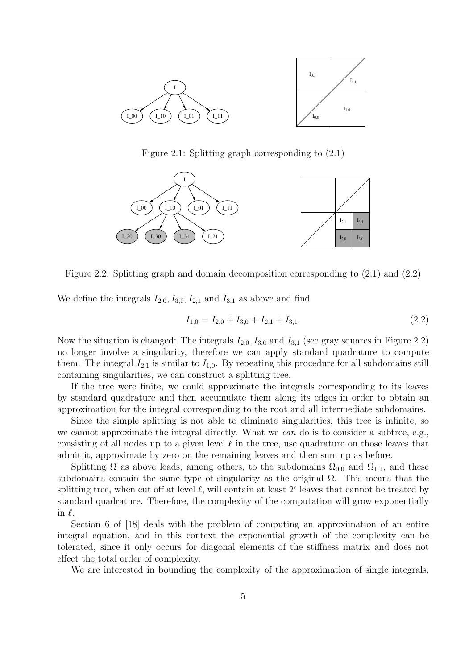

Figure 2.1: Splitting graph corresponding to (2.1)



Figure 2.2: Splitting graph and domain decomposition corresponding to (2.1) and (2.2)

We define the integrals  $I_{2,0}$ ,  $I_{3,0}$ ,  $I_{2,1}$  and  $I_{3,1}$  as above and find

$$
I_{1,0} = I_{2,0} + I_{3,0} + I_{2,1} + I_{3,1}.
$$
\n(2.2)

Now the situation is changed: The integrals  $I_{2,0}$ ,  $I_{3,0}$  and  $I_{3,1}$  (see gray squares in Figure 2.2) no longer involve a singularity, therefore we can apply standard quadrature to compute them. The integral  $I_{2,1}$  is similar to  $I_{1,0}$ . By repeating this procedure for all subdomains still containing singularities, we can construct a splitting tree.

If the tree were finite, we could approximate the integrals corresponding to its leaves by standard quadrature and then accumulate them along its edges in order to obtain an approximation for the integral corresponding to the root and all intermediate subdomains.

Since the simple splitting is not able to eliminate singularities, this tree is infinite, so we cannot approximate the integral directly. What we can do is to consider a subtree, e.g., consisting of all nodes up to a given level  $\ell$  in the tree, use quadrature on those leaves that admit it, approximate by zero on the remaining leaves and then sum up as before.

Splitting  $\Omega$  as above leads, among others, to the subdomains  $\Omega_{0,0}$  and  $\Omega_{1,1}$ , and these subdomains contain the same type of singularity as the original  $\Omega$ . This means that the splitting tree, when cut off at level  $\ell$ , will contain at least  $2^{\ell}$  leaves that cannot be treated by standard quadrature. Therefore, the complexity of the computation will grow exponentially in  $\ell$ .

Section 6 of [18] deals with the problem of computing an approximation of an entire integral equation, and in this context the exponential growth of the complexity can be tolerated, since it only occurs for diagonal elements of the stiffness matrix and does not effect the total order of complexity.

We are interested in bounding the complexity of the approximation of single integrals,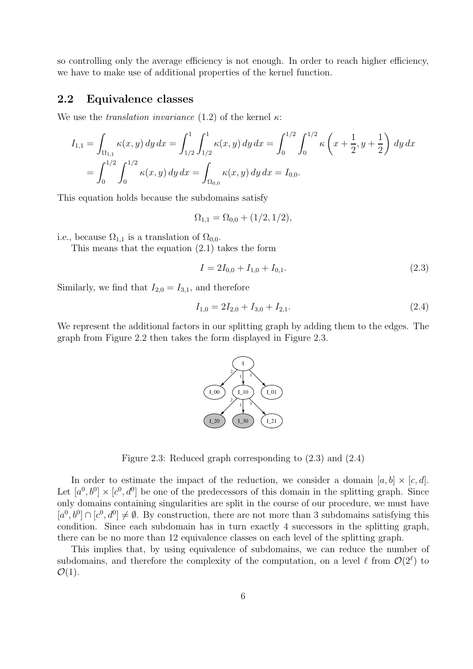so controlling only the average efficiency is not enough. In order to reach higher efficiency, we have to make use of additional properties of the kernel function.

#### **2.2 Equivalence classes**

We use the *translation invariance* (1.2) of the kernel  $\kappa$ :

$$
I_{1,1} = \int_{\Omega_{1,1}} \kappa(x,y) \, dy \, dx = \int_{1/2}^1 \int_{1/2}^1 \kappa(x,y) \, dy \, dx = \int_0^{1/2} \int_0^{1/2} \kappa\left(x + \frac{1}{2}, y + \frac{1}{2}\right) \, dy \, dx
$$
  
= 
$$
\int_0^{1/2} \int_0^{1/2} \kappa(x,y) \, dy \, dx = \int_{\Omega_{0,0}} \kappa(x,y) \, dy \, dx = I_{0,0}.
$$

This equation holds because the subdomains satisfy

$$
\Omega_{1,1} = \Omega_{0,0} + (1/2,1/2),
$$

i.e., because  $\Omega_{1,1}$  is a translation of  $\Omega_{0,0}$ .

This means that the equation (2.1) takes the form

$$
I = 2I_{0,0} + I_{1,0} + I_{0,1}.
$$
\n(2.3)

Similarly, we find that  $I_{2,0} = I_{3,1}$ , and therefore

$$
I_{1,0} = 2I_{2,0} + I_{3,0} + I_{2,1}.
$$
\n
$$
(2.4)
$$

We represent the additional factors in our splitting graph by adding them to the edges. The graph from Figure 2.2 then takes the form displayed in Figure 2.3.



Figure 2.3: Reduced graph corresponding to (2.3) and (2.4)

In order to estimate the impact of the reduction, we consider a domain  $[a, b] \times [c, d]$ . Let  $[a^0, b^0] \times [c^0, d^0]$  be one of the predecessors of this domain in the splitting graph. Since only domains containing singularities are split in the course of our procedure, we must have  $[a^0, b^0] \cap [c^0, d^0] \neq \emptyset$ . By construction, there are not more than 3 subdomains satisfying this condition. Since each subdomain has in turn exactly 4 successors in the splitting graph, there can be no more than 12 equivalence classes on each level of the splitting graph.

This implies that, by using equivalence of subdomains, we can reduce the number of subdomains, and therefore the complexity of the computation, on a level  $\ell$  from  $\mathcal{O}(2^{\ell})$  to  $\mathcal{O}(1)$ .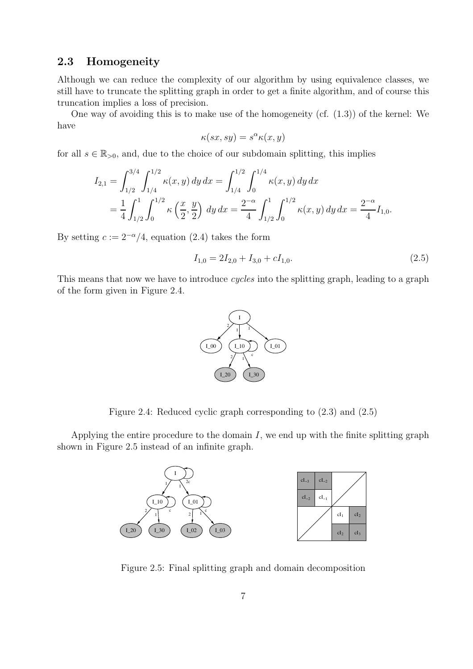## **2.3 Homogeneity**

Although we can reduce the complexity of our algorithm by using equivalence classes, we still have to truncate the splitting graph in order to get a finite algorithm, and of course this truncation implies a loss of precision.

One way of avoiding this is to make use of the homogeneity (cf. (1.3)) of the kernel: We have

$$
\kappa(sx, sy) = s^{\alpha} \kappa(x, y)
$$

for all  $s \in \mathbb{R}_{>0}$ , and, due to the choice of our subdomain splitting, this implies

$$
I_{2,1} = \int_{1/2}^{3/4} \int_{1/4}^{1/2} \kappa(x, y) dy dx = \int_{1/4}^{1/2} \int_{0}^{1/4} \kappa(x, y) dy dx
$$
  
=  $\frac{1}{4} \int_{1/2}^{1} \int_{0}^{1/2} \kappa(\frac{x}{2}, \frac{y}{2}) dy dx = \frac{2^{-\alpha}}{4} \int_{1/2}^{1} \int_{0}^{1/2} \kappa(x, y) dy dx = \frac{2^{-\alpha}}{4} I_{1,0}.$ 

By setting  $c := 2^{-\alpha}/4$ , equation (2.4) takes the form

$$
I_{1,0} = 2I_{2,0} + I_{3,0} + cI_{1,0}.
$$
\n
$$
(2.5)
$$

This means that now we have to introduce *cycles* into the splitting graph, leading to a graph of the form given in Figure 2.4.



Figure 2.4: Reduced cyclic graph corresponding to (2.3) and (2.5)

Applying the entire procedure to the domain  $I$ , we end up with the finite splitting graph shown in Figure 2.5 instead of an infinite graph.



Figure 2.5: Final splitting graph and domain decomposition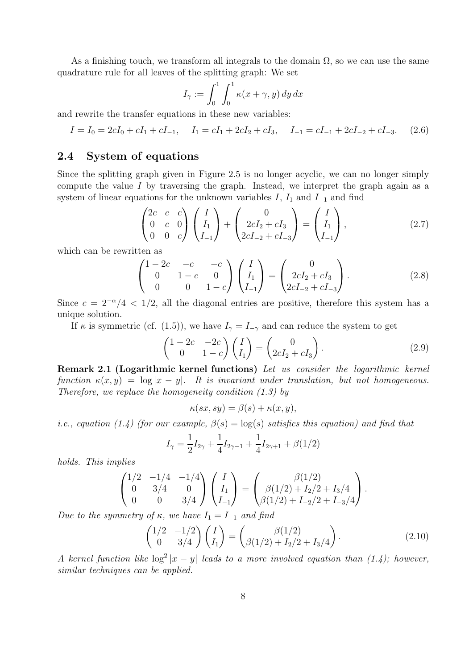As a finishing touch, we transform all integrals to the domain  $\Omega$ , so we can use the same quadrature rule for all leaves of the splitting graph: We set

$$
I_{\gamma} := \int_0^1 \int_0^1 \kappa(x + \gamma, y) \, dy \, dx
$$

and rewrite the transfer equations in these new variables:

$$
I = I_0 = 2cI_0 + cI_1 + cI_{-1}, \quad I_1 = cI_1 + 2cI_2 + cI_3, \quad I_{-1} = cI_{-1} + 2cI_{-2} + cI_{-3}.
$$
 (2.6)

## **2.4 System of equations**

Since the splitting graph given in Figure 2.5 is no longer acyclic, we can no longer simply compute the value I by traversing the graph. Instead, we interpret the graph again as a system of linear equations for the unknown variables  $I, I_1$  and  $I_{-1}$  and find

$$
\begin{pmatrix} 2c & c & c \ 0 & c & 0 \ 0 & 0 & c \end{pmatrix} \begin{pmatrix} I \\ I_1 \\ I_{-1} \end{pmatrix} + \begin{pmatrix} 0 \\ 2cI_2 + cI_3 \\ 2cI_{-2} + cI_{-3} \end{pmatrix} = \begin{pmatrix} I \\ I_1 \\ I_{-1} \end{pmatrix},
$$
(2.7)

which can be rewritten as

$$
\begin{pmatrix}\n1-2c & -c & -c \\
0 & 1-c & 0 \\
0 & 0 & 1-c\n\end{pmatrix}\n\begin{pmatrix}\nI \\
I_1 \\
I_{-1}\n\end{pmatrix} =\n\begin{pmatrix}\n0 \\
2cI_2 + cI_3 \\
2cI_{-2} + cI_{-3}\n\end{pmatrix}.
$$
\n(2.8)

Since  $c = 2^{-\alpha}/4 < 1/2$ , all the diagonal entries are positive, therefore this system has a unique solution.

If  $\kappa$  is symmetric (cf. (1.5)), we have  $I_{\gamma} = I_{-\gamma}$  and can reduce the system to get

$$
\begin{pmatrix} 1 - 2c & -2c \ 0 & 1 - c \end{pmatrix} \begin{pmatrix} I \\ I_1 \end{pmatrix} = \begin{pmatrix} 0 \\ 2cI_2 + cI_3 \end{pmatrix}.
$$
 (2.9)

**Remark 2.1 (Logarithmic kernel functions)** Let us consider the logarithmic kernel function  $\kappa(x, y) = \log |x - y|$ . It is invariant under translation, but not homogeneous. Therefore, we replace the homogeneity condition (1.3) by

$$
\kappa(sx, sy) = \beta(s) + \kappa(x, y),
$$

*i.e., equation (1.4) (for our example,*  $\beta(s) = \log(s)$  satisfies this equation) and find that

$$
I_{\gamma} = \frac{1}{2}I_{2\gamma} + \frac{1}{4}I_{2\gamma - 1} + \frac{1}{4}I_{2\gamma + 1} + \beta(1/2)
$$

holds. This implies

$$
\begin{pmatrix} 1/2 & -1/4 & -1/4 \ 0 & 3/4 & 0 \ 0 & 0 & 3/4 \end{pmatrix} \begin{pmatrix} I \\ I_1 \\ I_{-1} \end{pmatrix} = \begin{pmatrix} \beta(1/2) \\ \beta(1/2) + I_2/2 + I_3/4 \\ \beta(1/2) + I_{-2}/2 + I_{-3}/4 \end{pmatrix}.
$$

Due to the symmetry of  $\kappa$ , we have  $I_1 = I_{-1}$  and find

$$
\begin{pmatrix} 1/2 & -1/2 \\ 0 & 3/4 \end{pmatrix} \begin{pmatrix} I \\ I_1 \end{pmatrix} = \begin{pmatrix} \beta(1/2) \\ \beta(1/2) + I_2/2 + I_3/4 \end{pmatrix}.
$$
 (2.10)

A kernel function like  $\log^2 |x-y|$  leads to a more involved equation than (1.4); however, similar techniques can be applied.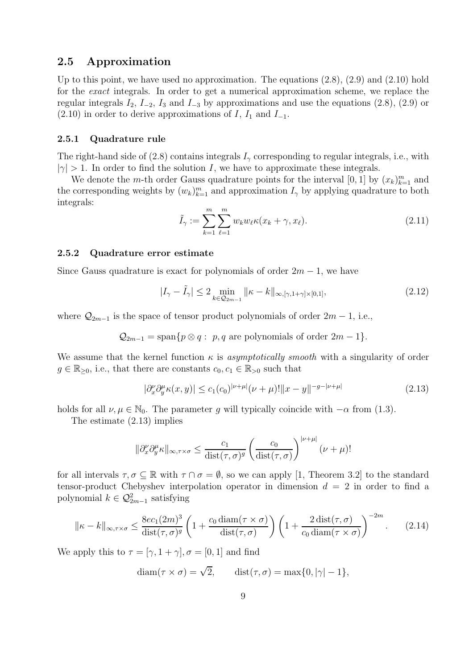#### **2.5 Approximation**

Up to this point, we have used no approximation. The equations  $(2.8)$ ,  $(2.9)$  and  $(2.10)$  hold for the exact integrals. In order to get a numerical approximation scheme, we replace the regular integrals  $I_2$ ,  $I_{-2}$ ,  $I_3$  and  $I_{-3}$  by approximations and use the equations (2.8), (2.9) or  $(2.10)$  in order to derive approximations of I, I<sub>1</sub> and I<sub>-1</sub>.

#### **2.5.1 Quadrature rule**

The right-hand side of (2.8) contains integrals  $I_{\gamma}$  corresponding to regular integrals, i.e., with  $|\gamma| > 1$ . In order to find the solution I, we have to approximate these integrals.

We denote the *m*-th order Gauss quadrature points for the interval  $[0, 1]$  by  $(x_k)_{k=1}^m$  and<br>corresponding weights by  $(w_k)^m$ , and approximation *L*, by applying quadrature to both the corresponding weights by  $(w_k)_{k=1}^m$  and approximation  $I_\gamma$  by applying quadrature to both integrals. integrals:

$$
\tilde{I}_{\gamma} := \sum_{k=1}^{m} \sum_{\ell=1}^{m} w_k w_{\ell} \kappa(x_k + \gamma, x_{\ell}). \tag{2.11}
$$

#### **2.5.2 Quadrature error estimate**

Since Gauss quadrature is exact for polynomials of order  $2m - 1$ , we have

$$
|I_{\gamma} - \tilde{I}_{\gamma}| \le 2 \min_{k \in \mathcal{Q}_{2m-1}} ||\kappa - k||_{\infty, [\gamma, 1 + \gamma] \times [0, 1]},
$$
\n(2.12)

where  $\mathcal{Q}_{2m-1}$  is the space of tensor product polynomials of order  $2m-1$ , i.e.,

$$
Q_{2m-1} = \text{span}\{p \otimes q : p, q \text{ are polynomials of order } 2m-1\}.
$$

We assume that the kernel function  $\kappa$  is asymptotically smooth with a singularity of order  $g \in \mathbb{R}_{\geq 0}$ , i.e., that there are constants  $c_0, c_1 \in \mathbb{R}_{\geq 0}$  such that

$$
|\partial_x^{\nu}\partial_y^{\mu}\kappa(x,y)| \le c_1(c_0)^{|\nu+\mu|}(\nu+\mu)!\|x-y\|^{-g-|\nu+\mu|}
$$
\n(2.13)

holds for all  $\nu, \mu \in \mathbb{N}_0$ . The parameter g will typically coincide with  $-\alpha$  from (1.3).

The estimate (2.13) implies

$$
\|\partial_x^{\nu}\partial_y^{\mu}\kappa\|_{\infty,\tau\times\sigma}\leq \frac{c_1}{\text{dist}(\tau,\sigma)^g}\left(\frac{c_0}{\text{dist}(\tau,\sigma)}\right)^{\nu+\mu|}(\nu+\mu)!
$$

for all intervals  $\tau, \sigma \subset \mathbb{R}$  with  $\tau \cap \sigma = \emptyset$ , so we can apply [1, Theorem 3.2] to the standard tensor-product Chebyshev interpolation operator in dimension  $d = 2$  in order to find a polynomial  $k \in \mathcal{Q}_{2m-1}^2$  satisfying

$$
\|\kappa - k\|_{\infty, \tau \times \sigma} \le \frac{8ec_1(2m)^3}{\text{dist}(\tau, \sigma)^g} \left(1 + \frac{c_0 \cdot \text{diam}(\tau \times \sigma)}{\text{dist}(\tau, \sigma)}\right) \left(1 + \frac{2 \cdot \text{dist}(\tau, \sigma)}{c_0 \cdot \text{diam}(\tau \times \sigma)}\right)^{-2m}.
$$
 (2.14)

We apply this to  $\tau = [\gamma, 1 + \gamma], \sigma = [0, 1]$  and find

diam $(\tau \times \sigma) = \sqrt{2}$ , dist $(\tau, \sigma) = \max\{0, |\gamma| - 1\}$ ,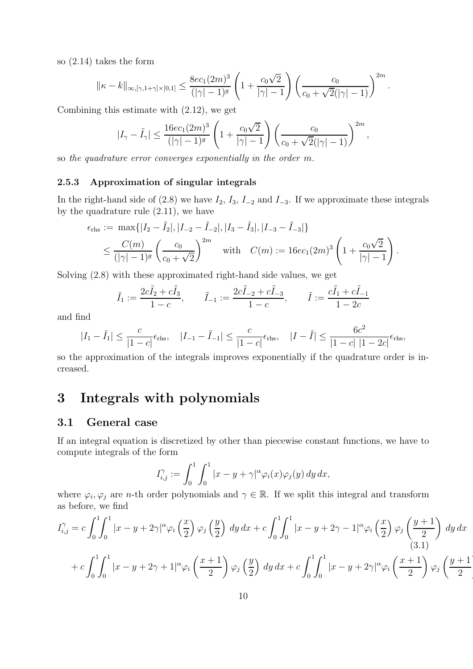so (2.14) takes the form

$$
\| \kappa - k \|_{\infty, [\gamma, 1 + \gamma] \times [0, 1]} \leq \frac{8 e c_1(2m)^3}{(|\gamma| - 1)^g} \left( 1 + \frac{c_0 \sqrt{2}}{|\gamma| - 1} \right) \left( \frac{c_0}{c_0 + \sqrt{2}(|\gamma| - 1)} \right)^{2m}
$$

.

Ì

Combining this estimate with (2.12), we get

$$
|I_{\gamma}-\tilde{I}_{\gamma}|\leq \frac{16ec_1(2m)^3}{(|\gamma|-1)^g}\left(1+\frac{c_0\sqrt{2}}{|\gamma|-1}\right)\left(\frac{c_0}{c_0+\sqrt{2}(|\gamma|-1)}\right)^{2m},
$$

so the quadrature error converges exponentially in the order m.

#### **2.5.3 Approximation of singular integrals**

In the right-hand side of (2.8) we have  $I_2$ ,  $I_3$ ,  $I_{-2}$  and  $I_{-3}$ . If we approximate these integrals by the quadrature rule (2.11), we have

$$
\epsilon_{\text{rhs}} := \max\{|I_2 - \tilde{I}_2|, |I_{-2} - \tilde{I}_{-2}|, |I_3 - \tilde{I}_3|, |I_{-3} - \tilde{I}_{-3}|\}
$$
  

$$
\leq \frac{C(m)}{(|\gamma| - 1)^g} \left(\frac{c_0}{c_0 + \sqrt{2}}\right)^{2m} \quad \text{with} \quad C(m) := 16ec_1(2m)^3 \left(1 + \frac{c_0\sqrt{2}}{|\gamma| - 1}\right).
$$

Solving (2.8) with these approximated right-hand side values, we get

$$
\tilde{I}_1 := \frac{2c\tilde{I}_2 + c\tilde{I}_3}{1 - c},
$$
\n $\tilde{I}_{-1} := \frac{2c\tilde{I}_{-2} + c\tilde{I}_{-3}}{1 - c},$ \n $\tilde{I} := \frac{c\tilde{I}_1 + c\tilde{I}_{-1}}{1 - 2c}$ 

and find

$$
|I_1 - \tilde{I}_1| \le \frac{c}{|1 - c|} \epsilon_{\text{rhs}}, \quad |I_{-1} - \tilde{I}_{-1}| \le \frac{c}{|1 - c|} \epsilon_{\text{rhs}}, \quad |I - \tilde{I}| \le \frac{6c^2}{|1 - c| |1 - 2c|} \epsilon_{\text{rhs}},
$$

so the approximation of the integrals improves exponentially if the quadrature order is increased.

# **3 Integrals with polynomials**

## **3.1 General case**

If an integral equation is discretized by other than piecewise constant functions, we have to compute integrals of the form

$$
I_{i,j}^{\gamma} := \int_0^1 \int_0^1 |x - y + \gamma|^{\alpha} \varphi_i(x) \varphi_j(y) \, dy \, dx,
$$

where  $\varphi_i, \varphi_j$  are *n*-th order polynomials and  $\gamma \in \mathbb{R}$ . If we split this integral and transform as before, we find

$$
I_{i,j}^{\gamma} = c \int_0^1 \int_0^1 |x - y + 2\gamma|^{\alpha} \varphi_i\left(\frac{x}{2}\right) \varphi_j\left(\frac{y}{2}\right) dy dx + c \int_0^1 \int_0^1 |x - y + 2\gamma - 1|^{\alpha} \varphi_i\left(\frac{x}{2}\right) \varphi_j\left(\frac{y+1}{2}\right) dy dx
$$
\n
$$
+ c \int_0^1 \int_0^1 |x - y + 2\gamma + 1|^{\alpha} \varphi_i\left(\frac{x+1}{2}\right) \varphi_j\left(\frac{y}{2}\right) dy dx + c \int_0^1 \int_0^1 |x - y + 2\gamma|^{\alpha} \varphi_i\left(\frac{x+1}{2}\right) \varphi_j\left(\frac{y+1}{2}\right) dx dx
$$
\n(3.1)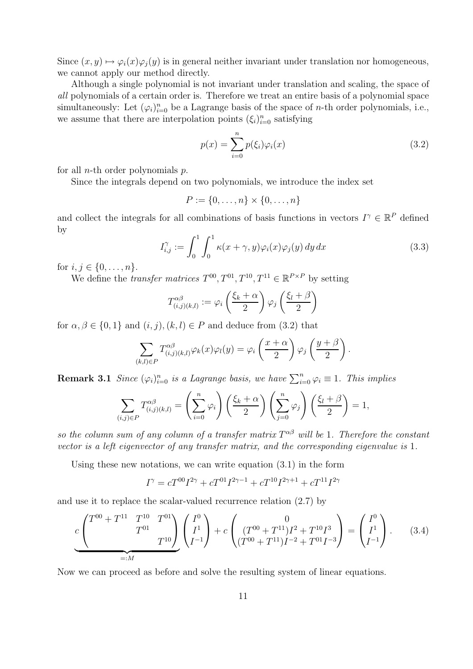Since  $(x, y) \mapsto \varphi_i(x)\varphi_j(y)$  is in general neither invariant under translation nor homogeneous, we cannot apply our method directly.

Although a single polynomial is not invariant under translation and scaling, the space of all polynomials of a certain order is. Therefore we treat an entire basis of a polynomial space simultaneously: Let  $(\varphi_i)_{i=0}^n$  be a Lagrange basis of the space of *n*-th order polynomials, i.e., we assume that there are interpolation points  $(\xi_i)_{i=0}^n$  satisfying

$$
p(x) = \sum_{i=0}^{n} p(\xi_i)\varphi_i(x)
$$
\n(3.2)

for all *n*-th order polynomials  $p$ .

Since the integrals depend on two polynomials, we introduce the index set

$$
P := \{0, \ldots, n\} \times \{0, \ldots, n\}
$$

and collect the integrals for all combinations of basis functions in vectors  $I^{\gamma} \in \mathbb{R}^{P}$  defined by

$$
I_{i,j}^{\gamma} := \int_0^1 \int_0^1 \kappa(x + \gamma, y) \varphi_i(x) \varphi_j(y) \, dy \, dx \tag{3.3}
$$

for  $i, j \in \{0, ..., n\}$ .

We define the *transfer matrices*  $T^{00}, T^{01}, T^{10}, T^{11} \in \mathbb{R}^{P \times P}$  by setting

$$
T_{(i,j)(k,l)}^{\alpha\beta} := \varphi_i\left(\frac{\xi_k + \alpha}{2}\right)\varphi_j\left(\frac{\xi_l + \beta}{2}\right)
$$

for  $\alpha, \beta \in \{0, 1\}$  and  $(i, j), (k, l) \in P$  and deduce from  $(3.2)$  that

$$
\sum_{(k,l)\in P} T_{(i,j)(k,l)}^{\alpha\beta} \varphi_k(x)\varphi_l(y) = \varphi_i\left(\frac{x+\alpha}{2}\right)\varphi_j\left(\frac{y+\beta}{2}\right).
$$

**Remark 3.1** Since  $(\varphi_i)_{i=0}^n$  is a Lagrange basis, we have  $\sum_{i=0}^n \varphi_i \equiv 1$ . This implies

$$
\sum_{(i,j)\in P} T_{(i,j)(k,l)}^{\alpha\beta} = \left(\sum_{i=0}^n \varphi_i\right) \left(\frac{\xi_k + \alpha}{2}\right) \left(\sum_{j=0}^n \varphi_j\right) \left(\frac{\xi_l + \beta}{2}\right) = 1,
$$

so the column sum of any column of a transfer matrix  $T^{\alpha\beta}$  will be 1. Therefore the constant vector is a left eigenvector of any transfer matrix, and the corresponding eigenvalue is 1.

Using these new notations, we can write equation (3.1) in the form

$$
I^{\gamma} = cT^{00}I^{2\gamma} + cT^{01}I^{2\gamma - 1} + cT^{10}I^{2\gamma + 1} + cT^{11}I^{2\gamma}
$$

and use it to replace the scalar-valued recurrence relation (2.7) by

$$
c\left(\begin{array}{cc}T^{00}+T^{11} & T^{10} & T^{01} \\ & T^{01} & \\ & & T^{10}\end{array}\right)\left(\begin{array}{c}I^0\\I^1\\I^{-1}\end{array}\right)+c\left(\begin{array}{cc}(T^{00}+T^{11})I^2+T^{10}I^3\\(T^{00}+T^{11})I^{-2}+T^{01}I^{-3}\end{array}\right)=\left(\begin{array}{c}I^0\\I^1\\I^{-1}\end{array}\right).
$$
 (3.4)

Now we can proceed as before and solve the resulting system of linear equations.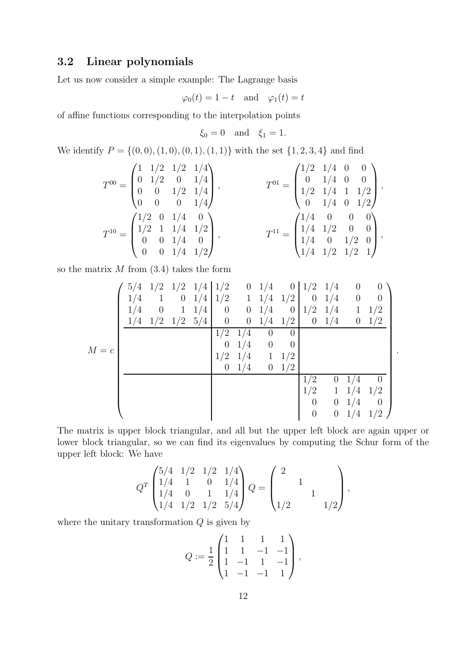## **3.2 Linear polynomials**

Let us now consider a simple example: The Lagrange basis

$$
\varphi_0(t) = 1 - t
$$
 and  $\varphi_1(t) = t$ 

of affine functions corresponding to the interpolation points

$$
\xi_0 = 0 \quad \text{and} \quad \xi_1 = 1.
$$

We identify  $P = \{(0, 0), (1, 0), (0, 1), (1, 1)\}$  with the set  $\{1, 2, 3, 4\}$  and find

$$
T^{00} = \begin{pmatrix} 1 & 1/2 & 1/2 & 1/4 \\ 0 & 1/2 & 0 & 1/4 \\ 0 & 0 & 1/2 & 1/4 \\ 0 & 0 & 0 & 1/4 \end{pmatrix}, \qquad T^{01} = \begin{pmatrix} 1/2 & 1/4 & 0 & 0 \\ 0 & 1/4 & 0 & 0 \\ 1/2 & 1/4 & 1 & 1/2 \\ 0 & 1/4 & 0 & 1/2 \end{pmatrix},
$$
  
\n
$$
T^{10} = \begin{pmatrix} 1/2 & 0 & 1/4 & 0 \\ 1/2 & 1 & 1/4 & 1/2 \\ 0 & 0 & 1/4 & 0 \\ 0 & 0 & 1/4 & 1/2 \end{pmatrix}, \qquad T^{11} = \begin{pmatrix} 1/4 & 0 & 0 & 0 \\ 1/4 & 1/2 & 0 & 0 \\ 1/4 & 0 & 1/2 & 0 \\ 1/4 & 1/2 & 1/2 & 1 \end{pmatrix},
$$

so the matrix  $M$  from  $(3.4)$  takes the form

|         | 5/4 | 1/2      |                  | $1/2$ $1/4$ $1/2$ |                | $\overline{0}$   | 1/4            | $\overline{0}$   | 1/2      | 1/4              |             |          |
|---------|-----|----------|------------------|-------------------|----------------|------------------|----------------|------------------|----------|------------------|-------------|----------|
| $M = c$ | 1/4 |          | $\boldsymbol{0}$ | 1/4               | 1/2            | $\mathbf{1}$     | 1/4            | 1/2              | $\theta$ | 1/4              | $\theta$    | $\Omega$ |
|         | 1/4 | $\theta$ | $\mathbf 1$      | 1/4               | $\theta$       | $\overline{0}$   | 1/4            | $\boldsymbol{0}$ | 1/2      | 1/4              | $\mathbf 1$ | 1/2      |
|         | 1/4 | 1/2      | 1/2              | 5/4               | $\overline{0}$ | $\boldsymbol{0}$ | 1/4            | 1/2              | $\theta$ | 1/4              | $\theta$    | 1/2      |
|         |     |          |                  |                   | 1/2            | 1/4              | $\theta$       | $\theta$         |          |                  |             |          |
|         |     |          |                  |                   | $\theta$       | 1/4              | $\overline{0}$ | $\overline{0}$   |          |                  |             |          |
|         |     |          |                  |                   | 1/2            | 1/4              | $\mathbf{1}$   | 1/2              |          |                  |             |          |
|         |     |          |                  |                   | $\theta$       | 1/4              | $\theta$       | 1/2              |          |                  |             |          |
|         |     |          |                  |                   |                |                  |                |                  | 1/2      | $\theta$         | 1/4         |          |
|         |     |          |                  |                   |                |                  |                |                  | 1/2      | $\mathbf{1}$     | 1/4         | 1/2      |
|         |     |          |                  |                   |                |                  |                |                  | $\theta$ | $\overline{0}$   | 1/4         | $\theta$ |
|         |     |          |                  |                   |                |                  |                |                  | 0        | $\boldsymbol{0}$ | 1/4         | 1/2      |

.

The matrix is upper block triangular, and all but the upper left block are again upper or lower block triangular, so we can find its eigenvalues by computing the Schur form of the upper left block: We have

$$
QT\begin{pmatrix} 5/4 & 1/2 & 1/2 & 1/4 \\ 1/4 & 1 & 0 & 1/4 \\ 1/4 & 0 & 1 & 1/4 \\ 1/4 & 1/2 & 1/2 & 5/4 \end{pmatrix} Q = \begin{pmatrix} 2 & 0 & 0 \\ 0 & 1 & 0 \\ 0 & 1 & 0 \\ 1/2 & 0 & 1/2 \end{pmatrix},
$$

where the unitary transformation  $Q$  is given by

$$
Q := \frac{1}{2} \begin{pmatrix} 1 & 1 & 1 & 1 \\ 1 & 1 & -1 & -1 \\ 1 & -1 & 1 & -1 \\ 1 & -1 & -1 & 1 \end{pmatrix},
$$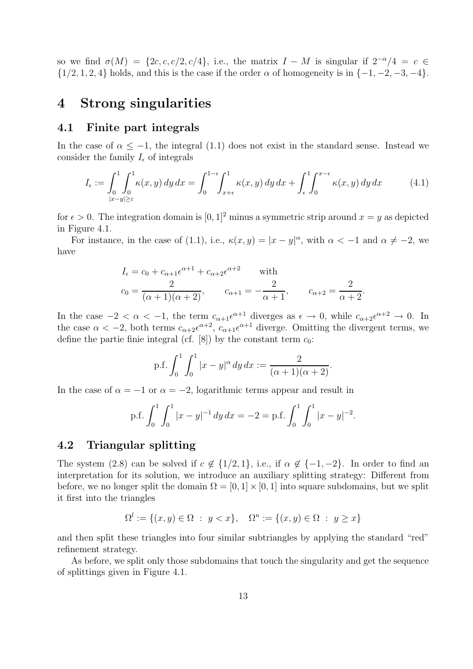so we find  $\sigma(M) = \{2c, c, c/2, c/4\}$ , i.e., the matrix  $I - M$  is singular if  $2^{-\alpha}/4 = c \in$  $\{1/2, 1, 2, 4\}$  holds, and this is the case if the order  $\alpha$  of homogeneity is in  $\{-1, -2, -3, -4\}$ .

## **4 Strong singularities**

#### **4.1 Finite part integrals**

In the case of  $\alpha < -1$ , the integral (1.1) does not exist in the standard sense. Instead we consider the family  $I_{\epsilon}$  of integrals

$$
I_{\epsilon} := \int_0^1 \int_0^1 \kappa(x, y) \, dy \, dx = \int_0^{1-\epsilon} \int_{x+\epsilon}^1 \kappa(x, y) \, dy \, dx + \int_{\epsilon}^1 \int_0^{x-\epsilon} \kappa(x, y) \, dy \, dx \tag{4.1}
$$

for  $\epsilon > 0$ . The integration domain is [0, 1]<sup>2</sup> minus a symmetric strip around  $x = y$  as depicted in Figure 4.1.

For instance, in the case of (1.1), i.e.,  $\kappa(x, y) = |x - y|^{\alpha}$ , with  $\alpha < -1$  and  $\alpha \neq -2$ , we have

$$
I_{\epsilon} = c_0 + c_{\alpha+1} \epsilon^{\alpha+1} + c_{\alpha+2} \epsilon^{\alpha+2} \quad \text{with}
$$
  

$$
c_0 = \frac{2}{(\alpha+1)(\alpha+2)}, \qquad c_{\alpha+1} = -\frac{2}{\alpha+1}, \qquad c_{\alpha+2} = \frac{2}{\alpha+2}.
$$

In the case  $-2 < \alpha < -1$ , the term  $c_{\alpha+1} \epsilon^{\alpha+1}$  diverges as  $\epsilon \to 0$ , while  $c_{\alpha+2} \epsilon^{\alpha+2} \to 0$ . In the case  $\alpha < -2$ , both terms  $c_{\alpha+2}e^{\alpha+2}$ ,  $c_{\alpha+1}e^{\alpha+1}$  diverge. Omitting the divergent terms, we define the partie finie integral (cf. [8]) by the constant term  $c_0$ :

$$
\text{p.f.} \int_0^1 \int_0^1 |x - y|^\alpha \, dy \, dx := \frac{2}{(\alpha + 1)(\alpha + 2)}.
$$

In the case of  $\alpha = -1$  or  $\alpha = -2$ , logarithmic terms appear and result in

$$
\text{p.f.} \int_0^1 \int_0^1 |x - y|^{-1} \, dy \, dx = -2 = \text{p.f.} \int_0^1 \int_0^1 |x - y|^{-2}.
$$

## **4.2 Triangular splitting**

The system (2.8) can be solved if  $c \notin \{1/2, 1\}$ , i.e., if  $\alpha \notin \{-1, -2\}$ . In order to find an interpretation for its solution, we introduce an auxiliary splitting strategy: Different from before, we no longer split the domain  $\Omega = [0, 1] \times [0, 1]$  into square subdomains, but we split it first into the triangles

$$
\Omega^l := \{(x, y) \in \Omega : y < x\}, \quad \Omega^u := \{(x, y) \in \Omega : y \ge x\}
$$

and then split these triangles into four similar subtriangles by applying the standard "red" refinement strategy.

As before, we split only those subdomains that touch the singularity and get the sequence of splittings given in Figure 4.1.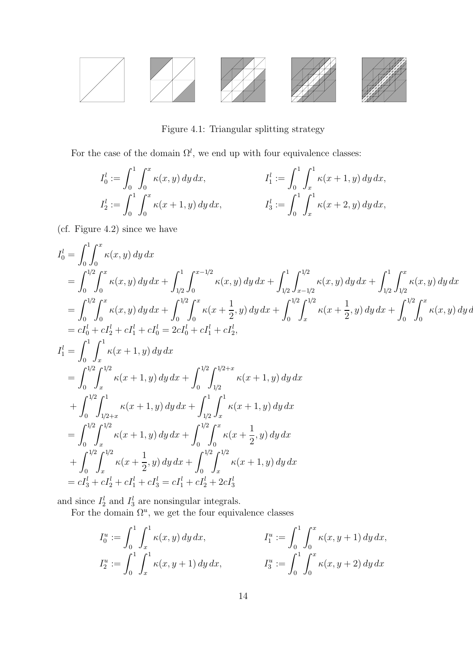

Figure 4.1: Triangular splitting strategy

For the case of the domain  $\Omega^l$ , we end up with four equivalence classes:

$$
I_0^l := \int_0^1 \int_0^x \kappa(x, y) \, dy \, dx, \qquad I_1^l := \int_0^1 \int_x^1 \kappa(x + 1, y) \, dy \, dx, I_2^l := \int_0^1 \int_0^x \kappa(x + 1, y) \, dy \, dx, \qquad I_3^l := \int_0^1 \int_x^1 \kappa(x + 2, y) \, dy \, dx,
$$

(cf. Figure 4.2) since we have

$$
I_0^l = \int_0^1 \int_0^x \kappa(x, y) dy dx
$$
  
\n
$$
= \int_0^{1/2} \int_0^x \kappa(x, y) dy dx + \int_{1/2}^1 \int_0^{x-1/2} \kappa(x, y) dy dx + \int_{1/2}^1 \int_{x-1/2}^{1/2} \kappa(x, y) dy dx + \int_{1/2}^1 \int_{1/2}^x \kappa(x, y) dy dx
$$
  
\n
$$
= \int_0^{1/2} \int_0^x \kappa(x, y) dy dx + \int_0^{1/2} \int_0^x \kappa(x + \frac{1}{2}, y) dy dx + \int_0^{1/2} \int_x^{1/2} \kappa(x + \frac{1}{2}, y) dy dx + \int_0^{1/2} \int_0^x \kappa(x, y) dy dx
$$
  
\n
$$
= cI_0^l + cI_2^l + cI_1^l + cI_0^l = 2cI_0^l + cI_1^l + cI_2^l,
$$
  
\n
$$
I_1^l = \int_0^1 \int_x^1 \kappa(x + 1, y) dy dx
$$
  
\n
$$
= \int_0^{1/2} \int_x^{1/2} \kappa(x + 1, y) dy dx + \int_0^{1/2} \int_{1/2}^{1/2 + x} \kappa(x + 1, y) dy dx
$$
  
\n
$$
+ \int_0^{1/2} \int_{1/2 + x}^1 \kappa(x + 1, y) dy dx + \int_{1/2}^1 \int_x^1 \kappa(x + 1, y) dy dx
$$
  
\n
$$
= \int_0^{1/2} \int_x^{1/2} \kappa(x + 1, y) dy dx + \int_0^{1/2} \int_x^x \kappa(x + \frac{1}{2}, y) dy dx
$$
  
\n
$$
+ \int_0^{1/2} \int_x^{1/2} \kappa(x + \frac{1}{2}, y) dy dx + \int_0^{1/2} \int_x^{1/2} \kappa(x + 1, y) dy dx
$$
  
\n
$$
= cI_3^l + cI_2^l + cI_1^l + cI_3^l = cI_1^l + cI_2^l + 2cI_3^l
$$

and since  $I_2^l$  and  $I_3^l$  are nonsingular integrals.

For the domain  $\Omega^u$ , we get the four equivalence classes

$$
I_0^u := \int_0^1 \int_x^1 \kappa(x, y) \, dy \, dx, \qquad I_1^u := \int_0^1 \int_0^x \kappa(x, y + 1) \, dy \, dx, I_2^u := \int_0^1 \int_x^1 \kappa(x, y + 1) \, dy \, dx, \qquad I_3^u := \int_0^1 \int_0^x \kappa(x, y + 2) \, dy \, dx
$$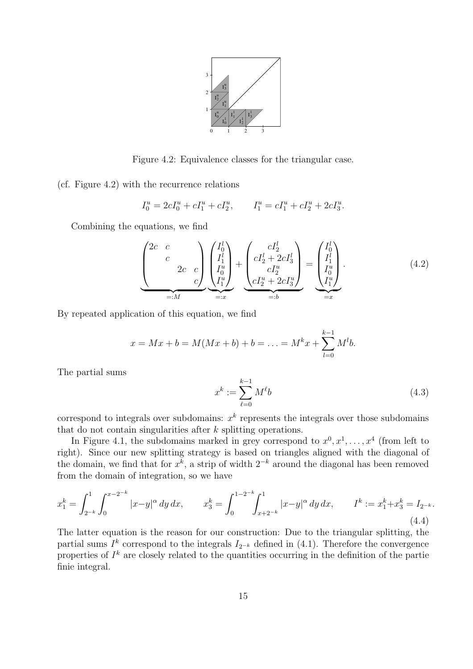

Figure 4.2: Equivalence classes for the triangular case.

(cf. Figure 4.2) with the recurrence relations

$$
I_0^u = 2cI_0^u + cI_1^u + cI_2^u, \qquad I_1^u = cI_1^u + cI_2^u + 2cI_3^u.
$$

Combining the equations, we find

$$
\underbrace{\begin{pmatrix} 2c & c \\ c & \\ & 2c & c \\ & & & c \end{pmatrix}}_{=:M} \underbrace{\begin{pmatrix} I_0^l \\ I_1^l \\ I_2^u \\ I_1^u \end{pmatrix}}_{=:x} + \underbrace{\begin{pmatrix} cI_2^l \\ cI_2^l + 2cI_3^l \\ cI_2^u \\ cI_2^u + 2cI_3^u \end{pmatrix}}_{=:b} = \underbrace{\begin{pmatrix} I_0^l \\ I_1^l \\ I_2^u \\ I_1^u \end{pmatrix}}_{=:x}.
$$
\n(4.2)

By repeated application of this equation, we find

$$
x = Mx + b = M(Mx + b) + b = \ldots = M^{k}x + \sum_{l=0}^{k-1} M^{l}b.
$$

The partial sums

$$
x^k := \sum_{\ell=0}^{k-1} M^{\ell} b \tag{4.3}
$$

correspond to integrals over subdomains:  $x^k$  represents the integrals over those subdomains that do not contain singularities after k splitting operations.

In Figure 4.1, the subdomains marked in grey correspond to  $x^0, x^1, \ldots, x^4$  (from left to right). Since our new splitting strategy is based on triangles aligned with the diagonal of the domain, we find that for  $x^k$ , a strip of width  $2^{-k}$  around the diagonal has been removed from the domain of integration, so we have

$$
x_1^k = \int_{2^{-k}}^1 \int_0^{x-2^{-k}} |x-y|^\alpha \, dy \, dx, \qquad x_3^k = \int_0^{1-2^{-k}} \int_{x+2^{-k}}^1 |x-y|^\alpha \, dy \, dx, \qquad I^k := x_1^k + x_3^k = I_{2^{-k}}.\tag{4.4}
$$

The latter equation is the reason for our construction: Due to the triangular splitting, the partial sums  $I^k$  correspond to the integrals  $I_{2^{-k}}$  defined in (4.1). Therefore the convergence properties of  $I^k$  are closely related to the quantities occurring in the definition of the partie finie integral.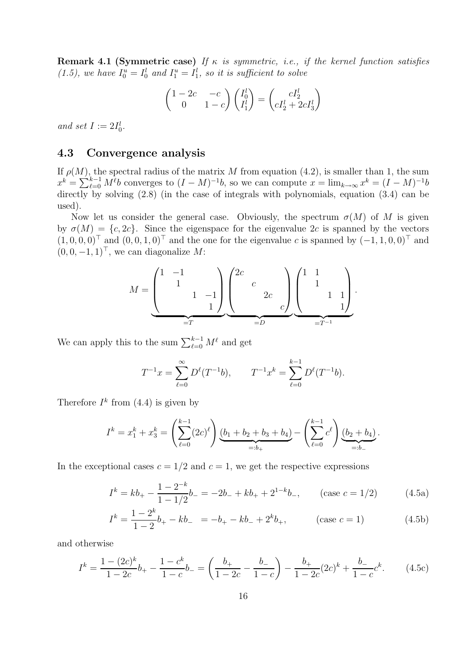**Remark 4.1 (Symmetric case)** If  $\kappa$  is symmetric, i.e., if the kernel function satisfies  $(1.5)$ , we have  $I_0^u = I_0^l$  and  $I_1^u = I_1^l$ , so it is sufficient to solve

$$
\begin{pmatrix} 1 - 2c & -c \ 0 & 1 - c \end{pmatrix} \begin{pmatrix} I_0^l \ I_1^l \end{pmatrix} = \begin{pmatrix} cI_2^l \ cI_2^l + 2cI_3^l \end{pmatrix}
$$

and set  $I := 2I_0^l$ .

## **4.3 Convergence analysis**

If  $\rho(M)$ , the spectral radius of the matrix M from equation (4.2), is smaller than 1, the sum  $x^k = \sum_{\ell=0}^{k-1} M^{\ell} b$  converges to  $(I-M)^{-1} b$ , so we can compute  $x = \lim_{k \to \infty} x^k = (I-M)^{-1} b$ directly by solving  $(2.8)$  (in the case of integrals with polynomials, equation  $(3.4)$  can be used).

Now let us consider the general case. Obviously, the spectrum  $\sigma(M)$  of M is given by  $\sigma(M) = \{c, 2c\}$ . Since the eigenspace for the eigenvalue 2c is spanned by the vectors  $(1, 0, 0, 0)^\top$  and  $(0, 0, 1, 0)^\top$  and the one for the eigenvalue c is spanned by  $(-1, 1, 0, 0)^\top$  and  $(0, 0, -1, 1)$ <sup>⊤</sup>, we can diagonalize M:

$$
M = \underbrace{\begin{pmatrix} 1 & -1 & & \\ & 1 & & \\ & & 1 & -1 \\ & & & & 1 \end{pmatrix}}_{=T} \underbrace{\begin{pmatrix} 2c & & & \\ & c & & \\ & & 2c & \\ & & & c \end{pmatrix}}_{=D} \underbrace{\begin{pmatrix} 1 & 1 & & \\ & 1 & & \\ & & 1 & 1 \\ & & & 1 \end{pmatrix}}_{=T^{-1}}.
$$

We can apply this to the sum  $\sum_{\ell=0}^{k-1}$  $_{\ell=0}^{\kappa-1} M^{\ell}$  and get

$$
T^{-1}x = \sum_{\ell=0}^{\infty} D^{\ell}(T^{-1}b), \qquad T^{-1}x^{k} = \sum_{\ell=0}^{k-1} D^{\ell}(T^{-1}b).
$$

Therefore  $I^k$  from (4.4) is given by

$$
I^k = x_1^k + x_3^k = \left(\sum_{\ell=0}^{k-1} (2\ell)^{\ell}\right) \underbrace{(b_1 + b_2 + b_3 + b_4)}_{=:b_+} - \left(\sum_{\ell=0}^{k-1} c^{\ell}\right) \underbrace{(b_2 + b_4)}_{=:b_-}.
$$

In the exceptional cases  $c = 1/2$  and  $c = 1$ , we get the respective expressions

$$
I^k = kb_+ - \frac{1 - 2^{-k}}{1 - 1/2}b_- = -2b_- + kb_+ + 2^{1-k}b_-, \qquad \text{(case } c = 1/2\text{)}\tag{4.5a}
$$

$$
I^{k} = \frac{1 - 2^{k}}{1 - 2}b_{+} - kb_{-} = -b_{+} - kb_{-} + 2^{k}b_{+}, \qquad \text{(case } c = 1)
$$
 (4.5b)

and otherwise

$$
I^k = \frac{1 - (2c)^k}{1 - 2c} b_+ - \frac{1 - c^k}{1 - c} b_- = \left(\frac{b_+}{1 - 2c} - \frac{b_-}{1 - c}\right) - \frac{b_+}{1 - 2c} (2c)^k + \frac{b_-}{1 - c} c^k.
$$
 (4.5c)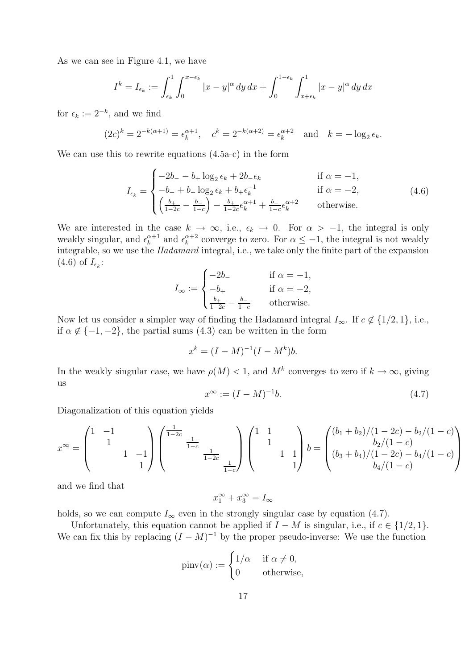As we can see in Figure 4.1, we have

$$
I^k = I_{\epsilon_k} := \int_{\epsilon_k}^1 \int_0^{x - \epsilon_k} |x - y|^\alpha \, dy \, dx + \int_0^{1 - \epsilon_k} \int_{x + \epsilon_k}^1 |x - y|^\alpha \, dy \, dx
$$

for  $\epsilon_k := 2^{-k}$ , and we find

$$
(2c)^k = 2^{-k(\alpha+1)} = \epsilon_k^{\alpha+1}, \quad c^k = 2^{-k(\alpha+2)} = \epsilon_k^{\alpha+2} \text{ and } k = -\log_2 \epsilon_k.
$$

We can use this to rewrite equations (4.5a-c) in the form

$$
I_{\epsilon_k} = \begin{cases}\n-2b_{-} - b_{+} \log_2 \epsilon_k + 2b_{-} \epsilon_k & \text{if } \alpha = -1, \\
-b_{+} + b_{-} \log_2 \epsilon_k + b_{+} \epsilon_k^{-1} & \text{if } \alpha = -2, \\
\left(\frac{b_{+}}{1 - 2c} - \frac{b_{-}}{1 - c}\right) - \frac{b_{+}}{1 - 2c} \epsilon_k^{\alpha + 1} + \frac{b_{-}}{1 - c} \epsilon_k^{\alpha + 2} & \text{otherwise.} \n\end{cases}
$$
\n(4.6)

We are interested in the case  $k \to \infty$ , i.e.,  $\epsilon_k \to 0$ . For  $\alpha > -1$ , the integral is only weakly singular, and  $\epsilon_k^{\alpha+1}$  and  $\epsilon_k^{\alpha+2}$  converge to zero. For  $\alpha \leq -1$ , the integral is not weakly integrable, so we use the Hadamard integral, i.e., we take only the finite part of the expansion  $(4.6)$  of  $I_{\epsilon_k}$ :

$$
I_{\infty} := \begin{cases} -2b_{-} & \text{if } \alpha = -1, \\ -b_{+} & \text{if } \alpha = -2, \\ \frac{b_{+}}{1 - 2c} - \frac{b_{-}}{1 - c} & \text{otherwise.} \end{cases}
$$

Now let us consider a simpler way of finding the Hadamard integral  $I_{\infty}$ . If  $c \notin \{1/2, 1\}$ , i.e., if  $\alpha \notin \{-1, -2\}$ , the partial sums (4.3) can be written in the form

$$
x^k = (I - M)^{-1} (I - M^k) b.
$$

In the weakly singular case, we have  $\rho(M) < 1$ , and  $M^k$  converges to zero if  $k \to \infty$ , giving us

$$
x^{\infty} := (I - M)^{-1}b.
$$
 (4.7)

Diagonalization of this equation yields

$$
x^{\infty} = \begin{pmatrix} 1 & -1 & & \\ & 1 & & \\ & & 1 & -1 \\ & & & 1 \end{pmatrix} \begin{pmatrix} \frac{1}{1-2c} & & \\ & \frac{1}{1-c} & \\ & & \frac{1}{1-2c} \\ & & & \frac{1}{1-c} \end{pmatrix} \begin{pmatrix} 1 & 1 & & \\ & 1 & & \\ & & 1 & 1 \\ & & & 1 \end{pmatrix} b = \begin{pmatrix} (b_1 + b_2)/(1-2c) - b_2/(1-c) \\ & b_2/(1-c) \\ (b_3 + b_4)/(1-2c) - b_4/(1-c) \\ & b_4/(1-c) \end{pmatrix}
$$

and we find that

$$
x_1^{\infty} + x_3^{\infty} = I_{\infty}
$$

holds, so we can compute  $I_{\infty}$  even in the strongly singular case by equation (4.7).

Unfortunately, this equation cannot be applied if  $I - M$  is singular, i.e., if  $c \in \{1/2, 1\}$ . We can fix this by replacing  $(I - M)^{-1}$  by the proper pseudo-inverse: We use the function

$$
pinv(\alpha) := \begin{cases} 1/\alpha & \text{if } \alpha \neq 0, \\ 0 & \text{otherwise,} \end{cases}
$$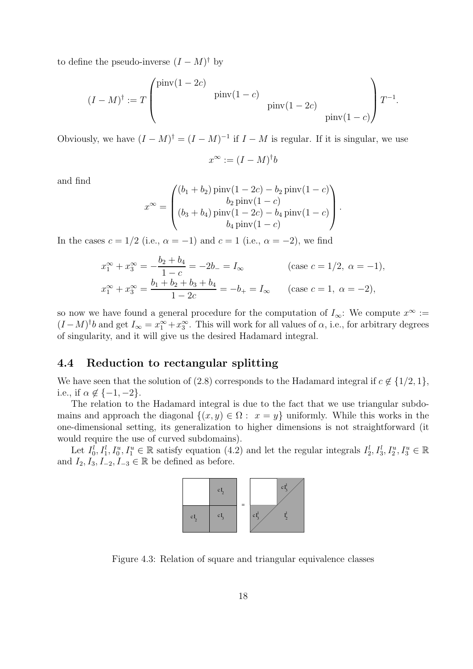to define the pseudo-inverse  $(I - M)^{\dagger}$  by

$$
(I - M)^{\dagger} := T \begin{pmatrix} \text{pinv}(1 - 2c) & \text{pinv}(1 - c) \\ \text{pinv}(1 - 2c) & \text{pinv}(1 - c) \end{pmatrix} T^{-1}.
$$

Obviously, we have  $(I - M)^{\dagger} = (I - M)^{-1}$  if  $I - M$  is regular. If it is singular, we use

$$
x^{\infty} := (I - M)^{\dagger} b
$$

and find

$$
x^{\infty} = \begin{pmatrix} (b_1 + b_2) \operatorname{pinv}(1 - 2c) - b_2 \operatorname{pinv}(1 - c) \\ b_2 \operatorname{pinv}(1 - c) \\ (b_3 + b_4) \operatorname{pinv}(1 - 2c) - b_4 \operatorname{pinv}(1 - c) \\ b_4 \operatorname{pinv}(1 - c) \end{pmatrix}.
$$

In the cases  $c = 1/2$  (i.e.,  $\alpha = -1$ ) and  $c = 1$  (i.e.,  $\alpha = -2$ ), we find

$$
x_1^{\infty} + x_3^{\infty} = -\frac{b_2 + b_4}{1 - c} = -2b_- = I_{\infty}
$$
 (case  $c = 1/2$ ,  $\alpha = -1$ ),  

$$
x_1^{\infty} + x_3^{\infty} = \frac{b_1 + b_2 + b_3 + b_4}{1 - 2c} = -b_+ = I_{\infty}
$$
 (case  $c = 1$ ,  $\alpha = -2$ ),

so now we have found a general procedure for the computation of  $I_{\infty}$ : We compute  $x^{\infty}$  :=  $(I-M)^{\dagger}b$  and get  $I_{\infty}=x_1^{\infty}+x_3^{\infty}$ . This will work for all values of  $\alpha$ , i.e., for arbitrary degrees of singularity, and it will give us the desired Hadamard integral.

### **4.4 Reduction to rectangular splitting**

We have seen that the solution of (2.8) corresponds to the Hadamard integral if  $c \notin \{1/2, 1\}$ , i.e., if  $\alpha \notin \{-1, -2\}$ .

The relation to the Hadamard integral is due to the fact that we use triangular subdomains and approach the diagonal  $\{(x, y) \in \Omega : x = y\}$  uniformly. While this works in the one-dimensional setting, its generalization to higher dimensions is not straightforward (it would require the use of curved subdomains).

Let  $I_0^l, I_1^l, I_0^u, I_1^u \in \mathbb{R}$  satisfy equation (4.2) and let the regular integrals  $I_2^l, I_3^l, I_2^u, I_3^u \in \mathbb{R}$ and  $I_2, I_3, I_{-2}, I_{-3} \in \mathbb{R}$  be defined as before.



Figure 4.3: Relation of square and triangular equivalence classes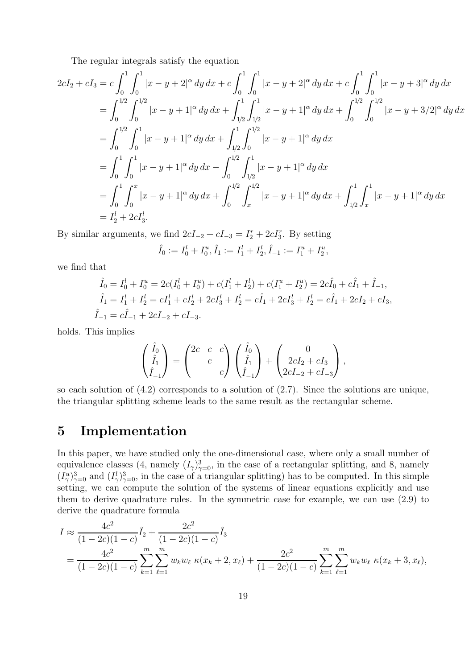The regular integrals satisfy the equation

$$
2cI_2 + cI_3 = c \int_0^1 \int_0^1 |x - y + 2|^\alpha \, dy \, dx + c \int_0^1 \int_0^1 |x - y + 2|^\alpha \, dy \, dx + c \int_0^1 \int_0^1 |x - y + 3|^\alpha \, dy \, dx
$$
  
\n
$$
= \int_0^{1/2} \int_0^{1/2} |x - y + 1|^\alpha \, dy \, dx + \int_{1/2}^1 \int_{1/2}^1 |x - y + 1|^\alpha \, dy \, dx + \int_0^{1/2} \int_0^{1/2} |x - y + 3/2|^\alpha \, dy \, dx
$$
  
\n
$$
= \int_0^{1/2} \int_0^1 |x - y + 1|^\alpha \, dy \, dx + \int_{1/2}^1 \int_0^{1/2} |x - y + 1|^\alpha \, dy \, dx
$$
  
\n
$$
= \int_0^1 \int_0^1 |x - y + 1|^\alpha \, dy \, dx - \int_0^{1/2} \int_{1/2}^1 |x - y + 1|^\alpha \, dy \, dx
$$
  
\n
$$
= \int_0^1 \int_0^x |x - y + 1|^\alpha \, dy \, dx + \int_0^{1/2} \int_x^{1/2} |x - y + 1|^\alpha \, dy \, dx + \int_{1/2}^1 \int_x^1 |x - y + 1|^\alpha \, dy \, dx
$$
  
\n
$$
= I_2^1 + 2cI_3^1.
$$

By similar arguments, we find  $2cI_{-2} + cI_{-3} = I_2^r + 2cI_3^r$ . By setting

$$
\hat{I}_0 := I_0^l + I_0^u, \hat{I}_1 := I_1^l + I_2^l, \hat{I}_{-1} := I_1^u + I_2^u,
$$

we find that

$$
\hat{I}_0 = I_0^l + I_0^u = 2c(I_0^l + I_0^u) + c(I_1^l + I_2^l) + c(I_1^u + I_2^u) = 2c\hat{I}_0 + c\hat{I}_1 + \hat{I}_{-1},
$$
\n
$$
\hat{I}_1 = I_1^l + I_2^l = cI_1^l + cI_2^l + 2cI_3^l + I_2^l = c\hat{I}_1 + 2cI_3^l + I_2^l = c\hat{I}_1 + 2cI_2 + cI_3,
$$
\n
$$
\hat{I}_{-1} = c\hat{I}_{-1} + 2cI_{-2} + cI_{-3}.
$$

holds. This implies

$$
\begin{pmatrix} \hat{I}_0 \\ \hat{I}_1 \\ \hat{I}_{-1} \end{pmatrix} = \begin{pmatrix} 2c & c & c \\ & c & \\ & & c \end{pmatrix} \begin{pmatrix} \hat{I}_0 \\ \hat{I}_1 \\ \hat{I}_{-1} \end{pmatrix} + \begin{pmatrix} 0 \\ 2cI_2 + cI_3 \\ 2cI_{-2} + cI_{-3} \end{pmatrix},
$$

so each solution of (4.2) corresponds to a solution of (2.7). Since the solutions are unique, the triangular splitting scheme leads to the same result as the rectangular scheme.

# **5 Implementation**

In this paper, we have studied only the one-dimensional case, where only a small number of equivalence classes  $(4, \text{ namely } (I_\gamma)_{\gamma=0}^3$ , in the case of a rectangular splitting, and 8, namely  $(I^{\{1\}3})$  in the case of a triangular splitting) has to be computed. In this simple  $(I_{\gamma}^u)_{\gamma=0}^3$  and  $(I_{\gamma}^l)_{\gamma=0}^3$ , in the case of a triangular splitting) has to be computed. In this simple setting, we can compute the solution of the systems of linear equations explicitly and use them to derive quadrature rules. In the symmetric case for example, we can use (2.9) to derive the quadrature formula

$$
I \approx \frac{4c^2}{(1-2c)(1-c)} \tilde{I}_2 + \frac{2c^2}{(1-2c)(1-c)} \tilde{I}_3
$$
  
= 
$$
\frac{4c^2}{(1-2c)(1-c)} \sum_{k=1}^m \sum_{\ell=1}^m w_k w_{\ell} \kappa(x_k+2, x_{\ell}) + \frac{2c^2}{(1-2c)(1-c)} \sum_{k=1}^m \sum_{\ell=1}^m w_k w_{\ell} \kappa(x_k+3, x_{\ell}),
$$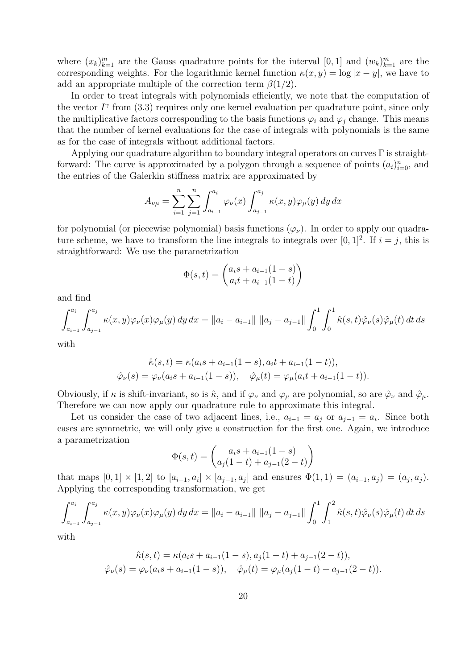where  $(x_k)_{k=1}^m$  are the Gauss quadrature points for the interval  $[0,1]$  and  $(w_k)_{k=1}^m$  are the corresponding weights. For the logarithmic keyped function  $x(x,y) = \log |x-y|$  was have to corresponding weights. For the logarithmic kernel function  $\kappa(x, y) = \log |x - y|$ , we have to add an appropriate multiple of the correction term  $\beta(1/2)$ .

In order to treat integrals with polynomials efficiently, we note that the computation of the vector  $I^{\gamma}$  from (3.3) requires only one kernel evaluation per quadrature point, since only the multiplicative factors corresponding to the basis functions  $\varphi_i$  and  $\varphi_j$  change. This means that the number of kernel evaluations for the case of integrals with polynomials is the same as for the case of integrals without additional factors.

Applying our quadrature algorithm to boundary integral operators on curves  $\Gamma$  is straightforward: The curve is approximated by a polygon through a sequence of points  $(a_i)_{i=0}^n$ , and the optics of the Colectin stiffness matrix are approximated by the entries of the Galerkin stiffness matrix are approximated by

$$
A_{\nu\mu} = \sum_{i=1}^{n} \sum_{j=1}^{n} \int_{a_{i-1}}^{a_i} \varphi_{\nu}(x) \int_{a_{j-1}}^{a_j} \kappa(x, y) \varphi_{\mu}(y) dy dx
$$

for polynomial (or piecewise polynomial) basis functions  $(\varphi_{\nu})$ . In order to apply our quadrature scheme, we have to transform the line integrals to integrals over [0, 1]<sup>2</sup>. If  $i = j$ , this is straightforward: We use the parametrization

$$
\Phi(s,t) = \begin{pmatrix} a_i s + a_{i-1}(1-s) \\ a_i t + a_{i-1}(1-t) \end{pmatrix}
$$

and find

$$
\int_{a_{i-1}}^{a_i} \int_{a_{j-1}}^{a_j} \kappa(x, y) \varphi_{\nu}(x) \varphi_{\mu}(y) dy dx = ||a_i - a_{i-1}|| \, ||a_j - a_{j-1}|| \int_0^1 \int_0^1 \hat{\kappa}(s, t) \hat{\varphi}_{\nu}(s) \hat{\varphi}_{\mu}(t) dt ds
$$

with

$$
\hat{\kappa}(s,t) = \kappa(a_i s + a_{i-1}(1-s), a_i t + a_{i-1}(1-t)),
$$
  

$$
\hat{\varphi}_{\nu}(s) = \varphi_{\nu}(a_i s + a_{i-1}(1-s)), \quad \hat{\varphi}_{\mu}(t) = \varphi_{\mu}(a_i t + a_{i-1}(1-t)).
$$

Obviously, if  $\kappa$  is shift-invariant, so is  $\hat{\kappa}$ , and if  $\varphi_{\nu}$  and  $\varphi_{\mu}$  are polynomial, so are  $\hat{\varphi}_{\nu}$  and  $\hat{\varphi}_{\mu}$ . Therefore we can now apply our quadrature rule to approximate this integral.

Let us consider the case of two adjacent lines, i.e.,  $a_{i-1} = a_j$  or  $a_{j-1} = a_i$ . Since both cases are symmetric, we will only give a construction for the first one. Again, we introduce a parametrization

$$
\Phi(s,t) = \begin{pmatrix} a_i s + a_{i-1} (1-s) \\ a_j (1-t) + a_{j-1} (2-t) \end{pmatrix}
$$

that maps  $[0, 1] \times [1, 2]$  to  $[a_{i-1}, a_i] \times [a_{j-1}, a_j]$  and ensures  $\Phi(1, 1) = (a_{i-1}, a_j) = (a_j, a_j)$ . Applying the corresponding transformation, we get

$$
\int_{a_{i-1}}^{a_i} \int_{a_{j-1}}^{a_j} \kappa(x, y) \varphi_{\nu}(x) \varphi_{\mu}(y) dy dx = ||a_i - a_{i-1}|| \, ||a_j - a_{j-1}|| \int_0^1 \int_1^2 \hat{\kappa}(s, t) \hat{\varphi}_{\nu}(s) \hat{\varphi}_{\mu}(t) dt ds
$$

with

$$
\hat{\kappa}(s,t) = \kappa(a_i s + a_{i-1}(1-s), a_j(1-t) + a_{j-1}(2-t)),
$$
  

$$
\hat{\varphi}_{\nu}(s) = \varphi_{\nu}(a_i s + a_{i-1}(1-s)), \quad \hat{\varphi}_{\mu}(t) = \varphi_{\mu}(a_j(1-t) + a_{j-1}(2-t)).
$$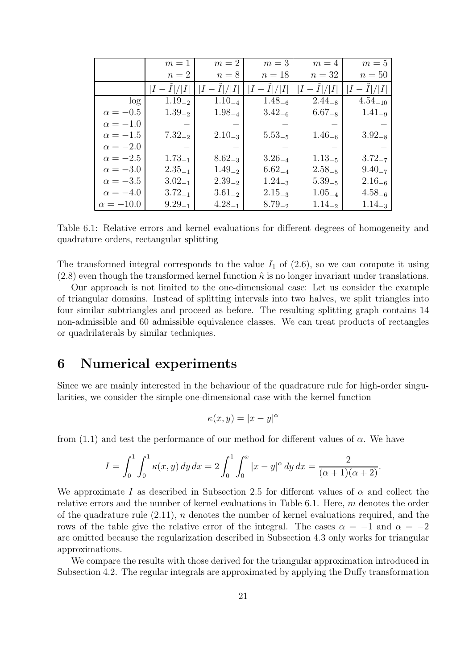|                  | $m=1$       | $m=2$       | $m=3$       | $m=4$       | $m=5$        |
|------------------|-------------|-------------|-------------|-------------|--------------|
|                  | $n=2$       | $n=8$       | $n=18$      | $n=32$      | $n=50$       |
|                  | $I-I / I $  | $I-I / I $  | $I-I / I $  | $-I / I $   | $I - I / I $ |
| log              | $1.19_{-2}$ | $1.10_{-4}$ | $1.48_{-6}$ | $2.44_{-8}$ | $4.54_{-10}$ |
| $\alpha = -0.5$  | $1.39_{-2}$ | $1.98_{-4}$ | $3.42_{-6}$ | $6.67_{-8}$ | $1.41_{-9}$  |
| $\alpha = -1.0$  |             |             |             |             |              |
| $\alpha = -1.5$  | $7.32_{-2}$ | $2.10_{-3}$ | $5.53_{-5}$ | $1.46_{-6}$ | $3.92_{-8}$  |
| $\alpha = -2.0$  |             |             |             |             |              |
| $\alpha = -2.5$  | $1.73_{-1}$ | $8.62_{-3}$ | $3.26_{-4}$ | $1.13_{-5}$ | $3.72_{-7}$  |
| $\alpha = -3.0$  | $2.35_{-1}$ | $1.49_{-2}$ | $6.62_{-4}$ | $2.58_{-5}$ | $9.40_{-7}$  |
| $\alpha = -3.5$  | $3.02_{-1}$ | $2.39_{-2}$ | $1.24_{-3}$ | $5.39_{-5}$ | $2.16_{-6}$  |
| $\alpha = -4.0$  | $3.72_{-1}$ | $3.61_{-2}$ | $2.15_{-3}$ | $1.05_{-4}$ | $4.58_{-6}$  |
| $\alpha = -10.0$ | $9.29_{-1}$ | $4.28_{-1}$ | $8.79_{-2}$ | $1.14_{-2}$ | $1.14_{-3}$  |

Table 6.1: Relative errors and kernel evaluations for different degrees of homogeneity and quadrature orders, rectangular splitting

The transformed integral corresponds to the value  $I_1$  of  $(2.6)$ , so we can compute it using  $(2.8)$  even though the transformed kernel function  $\hat{\kappa}$  is no longer invariant under translations.

Our approach is not limited to the one-dimensional case: Let us consider the example of triangular domains. Instead of splitting intervals into two halves, we split triangles into four similar subtriangles and proceed as before. The resulting splitting graph contains 14 non-admissible and 60 admissible equivalence classes. We can treat products of rectangles or quadrilaterals by similar techniques.

# **6 Numerical experiments**

Since we are mainly interested in the behaviour of the quadrature rule for high-order singularities, we consider the simple one-dimensional case with the kernel function

$$
\kappa(x, y) = |x - y|^c
$$

from (1.1) and test the performance of our method for different values of  $\alpha$ . We have

$$
I = \int_0^1 \int_0^1 \kappa(x, y) \, dy \, dx = 2 \int_0^1 \int_0^x |x - y|^\alpha \, dy \, dx = \frac{2}{(\alpha + 1)(\alpha + 2)}.
$$

We approximate I as described in Subsection 2.5 for different values of  $\alpha$  and collect the relative errors and the number of kernel evaluations in Table 6.1. Here, m denotes the order of the quadrature rule  $(2.11)$ , n denotes the number of kernel evaluations required, and the rows of the table give the relative error of the integral. The cases  $\alpha = -1$  and  $\alpha = -2$ are omitted because the regularization described in Subsection 4.3 only works for triangular approximations.

We compare the results with those derived for the triangular approximation introduced in Subsection 4.2. The regular integrals are approximated by applying the Duffy transformation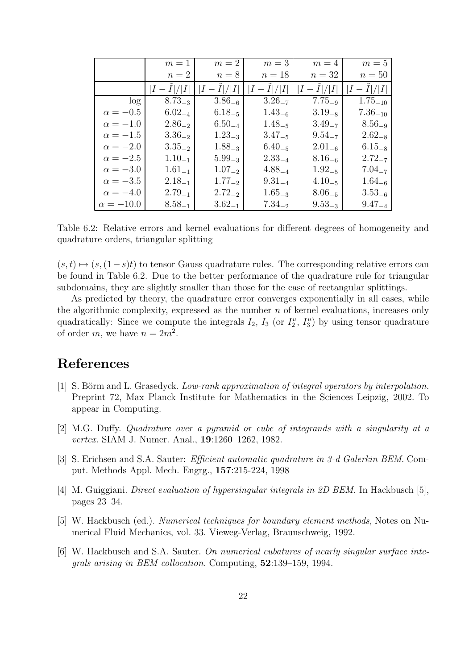|                  | $m=1$       | $m=2$       | $m=3$       | $m=4$       | $m=5$        |
|------------------|-------------|-------------|-------------|-------------|--------------|
|                  | $n=2$       | $n=8$       | $n=18$      | $n=32$      | $n=50$       |
|                  | $I-I / I $  | $ I-I / I $ | $I-I / I $  | $I-I / I $  | $I-I / I $   |
| log              | $8.73_{-3}$ | $3.86_{-6}$ | $3.26_{-7}$ | $7.75_{-9}$ | $1.75_{-10}$ |
| $\alpha = -0.5$  | $6.02_{-4}$ | $6.18_{-5}$ | $1.43_{-6}$ | $3.19_{-8}$ | $7.36_{-10}$ |
| $\alpha = -1.0$  | $2.86_{-2}$ | $6.50_{-4}$ | $1.48_{-5}$ | $3.49_{-7}$ | $8.56_{-9}$  |
| $\alpha = -1.5$  | $3.36_{-2}$ | $1.23_{-3}$ | $3.47_{-5}$ | $9.54_{-7}$ | $2.62_{-8}$  |
| $\alpha = -2.0$  | $3.35_{-2}$ | $1.88_{-3}$ | $6.40_{-5}$ | $2.01_{-6}$ | $6.15_{-8}$  |
| $\alpha = -2.5$  | $1.10_{-1}$ | $5.99_{-3}$ | $2.33_{-4}$ | $8.16_{-6}$ | $2.72_{-7}$  |
| $\alpha = -3.0$  | $1.61_{-1}$ | $1.07_{-2}$ | $4.88_{-4}$ | $1.92_{-5}$ | $7.04_{-7}$  |
| $\alpha = -3.5$  | $2.18_{-1}$ | $1.77_{-2}$ | $9.31_{-4}$ | $4.10_{-5}$ | $1.64_{-6}$  |
| $\alpha = -4.0$  | $2.79_{-1}$ | $2.72_{-2}$ | $1.65_{-3}$ | $8.06_{-5}$ | $3.53_{-6}$  |
| $\alpha = -10.0$ | $8.58_{-1}$ | $3.62_{-1}$ | $7.34_{-2}$ | $9.53_{-3}$ | $9.47_{-4}$  |

Table 6.2: Relative errors and kernel evaluations for different degrees of homogeneity and quadrature orders, triangular splitting

 $(s,t) \mapsto (s,(1-s)t)$  to tensor Gauss quadrature rules. The corresponding relative errors can be found in Table 6.2. Due to the better performance of the quadrature rule for triangular subdomains, they are slightly smaller than those for the case of rectangular splittings.

As predicted by theory, the quadrature error converges exponentially in all cases, while the algorithmic complexity, expressed as the number  $n$  of kernel evaluations, increases only quadratically: Since we compute the integrals  $I_2$ ,  $I_3$  (or  $I_2^u$ ,  $I_3^u$ ) by using tensor quadrature of order m, we have  $n = 2m^2$ .

# **References**

- [1] S. Börm and L. Grasedyck. Low-rank approximation of integral operators by interpolation. Preprint 72, Max Planck Institute for Mathematics in the Sciences Leipzig, 2002. To appear in Computing.
- [2] M.G. Duffy. Quadrature over a pyramid or cube of integrands with a singularity at a vertex. SIAM J. Numer. Anal., **19**:1260–1262, 1982.
- [3] S. Erichsen and S.A. Sauter: Efficient automatic quadrature in 3-d Galerkin BEM. Comput. Methods Appl. Mech. Engrg., **157**:215-224, 1998
- [4] M. Guiggiani. Direct evaluation of hypersingular integrals in 2D BEM. In Hackbusch [5], pages 23–34.
- [5] W. Hackbusch (ed.). Numerical techniques for boundary element methods, Notes on Numerical Fluid Mechanics, vol. 33. Vieweg-Verlag, Braunschweig, 1992.
- [6] W. Hackbusch and S.A. Sauter. On numerical cubatures of nearly singular surface integrals arising in BEM collocation. Computing, **52**:139–159, 1994.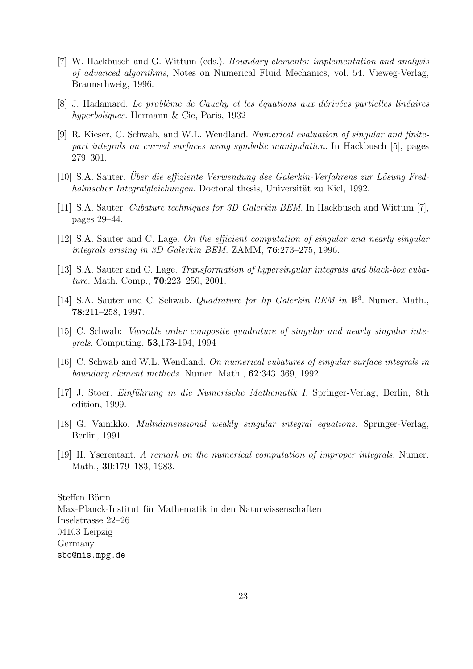- [7] W. Hackbusch and G. Wittum (eds.). Boundary elements: implementation and analysis of advanced algorithms, Notes on Numerical Fluid Mechanics, vol. 54. Vieweg-Verlag, Braunschweig, 1996.
- [8] J. Hadamard. Le problème de Cauchy et les équations aux dérivées partielles linéaires hyperboliques. Hermann & Cie, Paris, 1932
- [9] R. Kieser, C. Schwab, and W.L. Wendland. Numerical evaluation of singular and finitepart integrals on curved surfaces using symbolic manipulation. In Hackbusch [5], pages 279–301.
- [10] S.A. Sauter. Uber die effiziente Verwendung des Galerkin-Verfahrens zur Lösung Fredholmscher Integralgleichungen. Doctoral thesis, Universität zu Kiel, 1992.
- [11] S.A. Sauter. Cubature techniques for 3D Galerkin BEM. In Hackbusch and Wittum [7], pages 29–44.
- [12] S.A. Sauter and C. Lage. On the efficient computation of singular and nearly singular integrals arising in 3D Galerkin BEM. ZAMM, **76**:273–275, 1996.
- [13] S.A. Sauter and C. Lage. Transformation of hypersingular integrals and black-box cubature. Math. Comp., **70**:223–250, 2001.
- [14] S.A. Sauter and C. Schwab. *Quadrature for hp-Galerkin BEM in*  $\mathbb{R}^3$ . Numer. Math., **78**:211–258, 1997.
- [15] C. Schwab: Variable order composite quadrature of singular and nearly singular integrals. Computing, **53**,173-194, 1994
- [16] C. Schwab and W.L. Wendland. On numerical cubatures of singular surface integrals in boundary element methods. Numer. Math., **62**:343–369, 1992.
- [17] J. Stoer. *Einführung in die Numerische Mathematik I.* Springer-Verlag, Berlin, 8th edition, 1999.
- [18] G. Vainikko. Multidimensional weakly singular integral equations. Springer-Verlag, Berlin, 1991.
- [19] H. Yserentant. A remark on the numerical computation of improper integrals. Numer. Math., **30**:179–183, 1983.

Steffen Börm Max-Planck-Institut für Mathematik in den Naturwissenschaften Inselstrasse 22–26 04103 Leipzig Germany sbo@mis.mpg.de